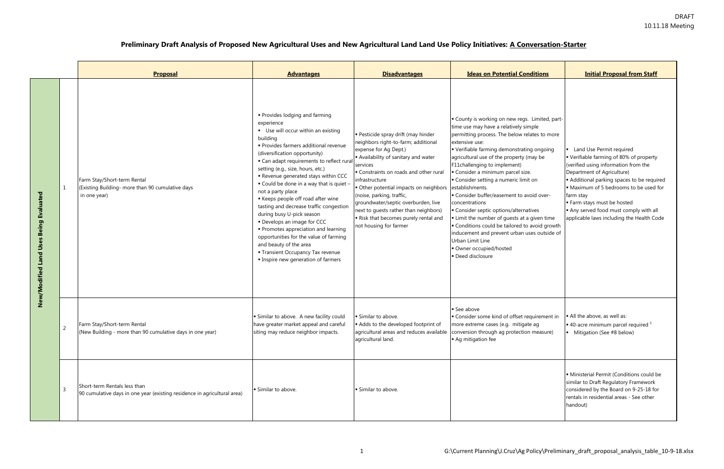|                                                     |   | <b>Proposal</b>                                                                                          | <b>Advantages</b>                                                                                                                                                                                                                                                                                                                                                                                                                                                                                                                                                                                                                                                                                      | <b>Disadvantages</b>                                                                                                                                                                                                                                                                                                                                                                                                                                  | <b>Ideas on Potential Conditions</b>                                                                                                                                                                                                                                                                                                                                                                                                                                                                                                                                                                                                                                                         | <b>Initial Proposal from Staff</b>                                                                                                                                                                                                                                                                                                                             |
|-----------------------------------------------------|---|----------------------------------------------------------------------------------------------------------|--------------------------------------------------------------------------------------------------------------------------------------------------------------------------------------------------------------------------------------------------------------------------------------------------------------------------------------------------------------------------------------------------------------------------------------------------------------------------------------------------------------------------------------------------------------------------------------------------------------------------------------------------------------------------------------------------------|-------------------------------------------------------------------------------------------------------------------------------------------------------------------------------------------------------------------------------------------------------------------------------------------------------------------------------------------------------------------------------------------------------------------------------------------------------|----------------------------------------------------------------------------------------------------------------------------------------------------------------------------------------------------------------------------------------------------------------------------------------------------------------------------------------------------------------------------------------------------------------------------------------------------------------------------------------------------------------------------------------------------------------------------------------------------------------------------------------------------------------------------------------------|----------------------------------------------------------------------------------------------------------------------------------------------------------------------------------------------------------------------------------------------------------------------------------------------------------------------------------------------------------------|
| <b>Being Evaluated</b><br>Uses<br>New/Modified Land |   | Farm Stay/Short-term Rental<br>(Existing Building- more than 90 cumulative days<br>in one year)          | • Provides lodging and farming<br>experience<br>Use will occur within an existing<br>building<br>· Provides farmers additional revenue<br>(diversification opportunity)<br>• Can adapt requirements to reflect rural<br>setting (e.g., size, hours, etc.)<br>Revenue generated stays within CCC<br>. Could be done in a way that is quiet -<br>not a party place<br>Keeps people off road after wine<br>tasting and decrease traffic congestion<br>during busy U-pick season<br>• Develops an image for CCC<br>• Promotes appreciation and learning<br>opportunities for the value of farming<br>and beauty of the area<br><b>Transient Occupancy Tax revenue</b><br>Inspire new generation of farmers | · Pesticide spray drift (may hinder<br>neighbors right-to-farm; additional<br>expense for Ag Dept.)<br>Availability of sanitary and water<br>services<br>Constraints on roads and other rural<br>infrastructure<br>Other potential impacts on neighbors establishments.<br>(noise, parking, traffic,<br>groundwater/septic overburden, live<br>next to guests rather than neighbors)<br>Risk that becomes purely rental and<br>not housing for farmer | County is working on new regs. Limited, part-<br>time use may have a relatively simple<br>permitting process. The below relates to more<br>extensive use:<br>• Verifiable farming demonstrating ongoing<br>agricultural use of the property (may be<br>F11challenging to implement)<br>• Consider a minimum parcel size.<br>Consider setting a numeric limit on<br>- Consider buffer/easement to avoid over-<br>concentrations<br>• Consider septic options/alternatives<br>Limit the number of guests at a given time<br>• Conditions could be tailored to avoid growth<br>inducement and prevent urban uses outside of<br>Urban Limit Line<br>· Owner occupied/hosted<br>· Deed disclosure | Land Use Permit required<br>• Verifiable farming of 80% of property<br>(verified using information from the<br>Department of Agriculture)<br>Additional parking spaces to be required<br>• Maximum of 5 bedrooms to be used for<br>farm stay<br>Farm stays must be hosted<br>Any served food must comply with all<br>applicable laws including the Health Code |
|                                                     |   | Farm Stay/Short-term Rental<br>(New Building - more than 90 cumulative days in one year)                 | Similar to above. A new facility could<br>have greater market appeal and careful<br>siting may reduce neighbor impacts.                                                                                                                                                                                                                                                                                                                                                                                                                                                                                                                                                                                | Similar to above.<br>Adds to the developed footprint of<br>agricultural land.                                                                                                                                                                                                                                                                                                                                                                         | See above<br>Consider some kind of offset requirement in<br>more extreme cases (e.g. mitigate ag<br>agricultural areas and reduces available conversion through ag protection measure)<br>Ag mitigation fee                                                                                                                                                                                                                                                                                                                                                                                                                                                                                  | All the above, as well as:<br>$\bullet$ 40-acre minimum parcel required $^1$<br>Mitigation (See #8 below)                                                                                                                                                                                                                                                      |
|                                                     | 3 | Short-term Rentals less than<br>90 cumulative days in one year (existing residence in agricultural area) | · Similar to above.                                                                                                                                                                                                                                                                                                                                                                                                                                                                                                                                                                                                                                                                                    | · Similar to above.                                                                                                                                                                                                                                                                                                                                                                                                                                   |                                                                                                                                                                                                                                                                                                                                                                                                                                                                                                                                                                                                                                                                                              | · Ministerial Permit (Conditions could be<br>similar to Draft Regulatory Framework<br>considered by the Board on 9-25-18 for<br>rentals in residential areas - See other<br>handout)                                                                                                                                                                           |

## **Preliminary Draft Analysis of Proposed New Agricultural Uses and New Agricultural Land Land Use Policy Initiatives: A Conversation-Starter**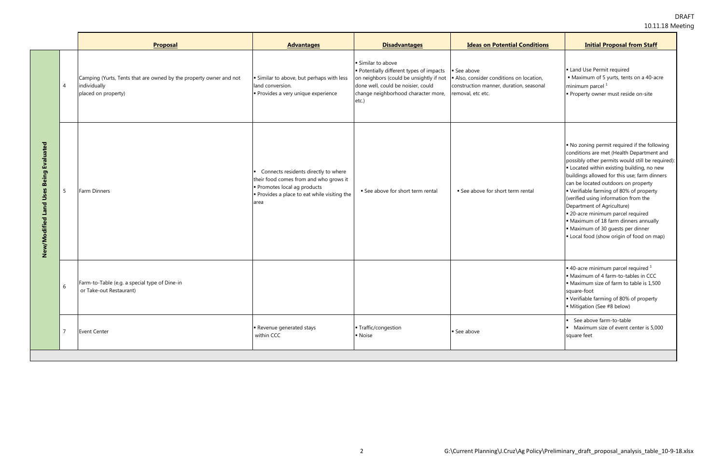|                                                     |                 | <b>Proposal</b>                                                                                           | <b>Advantages</b>                                                                                                                                                  | <b>Disadvantages</b>                                                                                                                                                                        | <b>Ideas on Potential Conditions</b>                                                                                | <b>Initial Proposal from Staff</b>                                                                                                                                                                                                                                                                                                                                                                                                                                                                                                                            |
|-----------------------------------------------------|-----------------|-----------------------------------------------------------------------------------------------------------|--------------------------------------------------------------------------------------------------------------------------------------------------------------------|---------------------------------------------------------------------------------------------------------------------------------------------------------------------------------------------|---------------------------------------------------------------------------------------------------------------------|---------------------------------------------------------------------------------------------------------------------------------------------------------------------------------------------------------------------------------------------------------------------------------------------------------------------------------------------------------------------------------------------------------------------------------------------------------------------------------------------------------------------------------------------------------------|
| <b>Being Evaluated</b><br>Uses<br>New/Modified Land | $\overline{4}$  | Camping (Yurts, Tents that are owned by the property owner and not<br>individually<br>placed on property) | · Similar to above, but perhaps with less<br>land conversion.<br>· Provides a very unique experience                                                               | Similar to above<br>Potentially different types of impacts<br>on neighbors (could be unsightly if not<br>done well, could be noisier, could<br>change neighborhood character more,<br>etc.) | See above<br>Also, consider conditions on location,<br>construction manner, duration, seasonal<br>removal, etc etc. | • Land Use Permit required<br>• Maximum of 5 yurts, tents on a 40-acre<br>minimum parcel <sup>1</sup><br>Property owner must reside on-site                                                                                                                                                                                                                                                                                                                                                                                                                   |
|                                                     | $5\overline{)}$ | Farm Dinners                                                                                              | Connects residents directly to where<br>their food comes from and who grows it<br>Promotes local ag products<br>Provides a place to eat while visiting the<br>area | See above for short term rental                                                                                                                                                             | See above for short term rental                                                                                     | No zoning permit required if the following<br>conditions are met (Health Department and<br>possibly other permits would still be required):<br>• Located within existing building, no new<br>buildings allowed for this use; farm dinners<br>can be located outdoors on property<br>Verifiable farming of 80% of property<br>(verified using information from the<br>Department of Agriculture)<br>· 20-acre minimum parcel required<br>• Maximum of 18 farm dinners annually<br>• Maximum of 30 guests per dinner<br>Local food (show origin of food on map) |
|                                                     | 6               | Farm-to-Table (e.g. a special type of Dine-in<br>or Take-out Restaurant)                                  |                                                                                                                                                                    |                                                                                                                                                                                             |                                                                                                                     | $\bullet$ 40-acre minimum parcel required $^1$<br>Maximum of 4 farm-to-tables in CCC<br>• Maximum size of farm to table is 1,500<br>square-foot<br>Verifiable farming of 80% of property<br>Mitigation (See #8 below)                                                                                                                                                                                                                                                                                                                                         |
|                                                     | $\overline{7}$  | <b>Event Center</b>                                                                                       | Revenue generated stays<br>within CCC                                                                                                                              | Traffic/congestion<br>• Noise                                                                                                                                                               | See above                                                                                                           | See above farm-to-table<br>Maximum size of event center is 5,000<br>square feet                                                                                                                                                                                                                                                                                                                                                                                                                                                                               |
|                                                     |                 |                                                                                                           |                                                                                                                                                                    |                                                                                                                                                                                             |                                                                                                                     |                                                                                                                                                                                                                                                                                                                                                                                                                                                                                                                                                               |